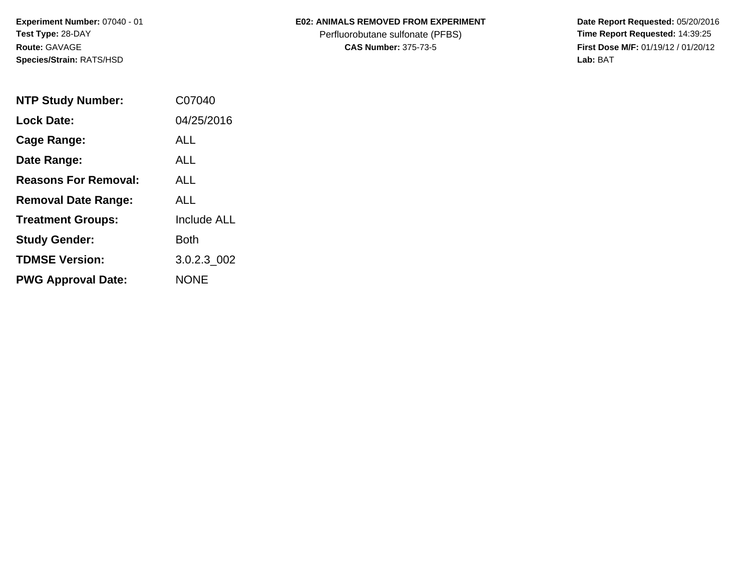**Experiment Number:** 07040 - 01**Test Type:** 28-DAY**Route:** GAVAGE**Species/Strain:** RATS/HSD

### **E02: ANIMALS REMOVED FROM EXPERIMENT**

Perfluorobutane sulfonate (PFBS)<br>**CAS Number:** 375-73-5

| <b>NTP Study Number:</b>    | C07040             |
|-----------------------------|--------------------|
| <b>Lock Date:</b>           | 04/25/2016         |
| Cage Range:                 | ALL                |
| Date Range:                 | <b>ALL</b>         |
| <b>Reasons For Removal:</b> | ALL                |
| <b>Removal Date Range:</b>  | AI L               |
| <b>Treatment Groups:</b>    | <b>Include ALL</b> |
| <b>Study Gender:</b>        | Both               |
| <b>TDMSE Version:</b>       | 3.0.2.3 002        |
| <b>PWG Approval Date:</b>   | <b>NONE</b>        |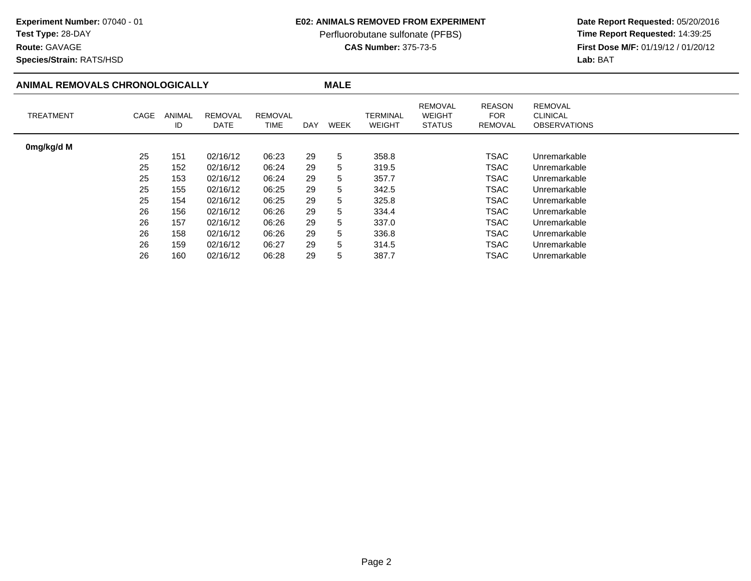### **E02: ANIMALS REMOVED FROM EXPERIMENT**

Perfluorobutane sulfonate (PFBS)<br>**CAS Number:** 375-73-5

 **Date Report Requested:** 05/20/2016 **First Dose M/F:** 01/19/12 / 01/20/12<br>Lab: BAT **Lab:** BAT

**Species/Strain:** RATS/HSD

**Route:** GAVAGE

### **ANIMAL REMOVALS CHRONOLOGICALLY**

**MALE**

| <b>TREATMENT</b> | CAGE | ANIMAL<br>ID | REMOVAL<br>DATE | <b>REMOVAL</b><br>TIME | DAY | <b>WEEK</b> | TERMINAL<br><b>WEIGHT</b> | <b>REMOVAL</b><br><b>WEIGHT</b><br><b>STATUS</b> | <b>REASON</b><br><b>FOR</b><br><b>REMOVAL</b> | <b>REMOVAL</b><br>CLINICAL<br><b>OBSERVATIONS</b> |
|------------------|------|--------------|-----------------|------------------------|-----|-------------|---------------------------|--------------------------------------------------|-----------------------------------------------|---------------------------------------------------|
| 0mg/kg/d M       |      |              |                 |                        |     |             |                           |                                                  |                                               |                                                   |
|                  | 25   | 151          | 02/16/12        | 06:23                  | 29  | 5           | 358.8                     |                                                  | <b>TSAC</b>                                   | Unremarkable                                      |
|                  | 25   | 152          | 02/16/12        | 06:24                  | 29  | 5           | 319.5                     |                                                  | TSAC                                          | Unremarkable                                      |
|                  | 25   | 153          | 02/16/12        | 06:24                  | 29  | 5           | 357.7                     |                                                  | TSAC                                          | Unremarkable                                      |
|                  | 25   | 155          | 02/16/12        | 06:25                  | 29  | 5           | 342.5                     |                                                  | <b>TSAC</b>                                   | Unremarkable                                      |
|                  | 25   | 154          | 02/16/12        | 06:25                  | 29  | 5           | 325.8                     |                                                  | <b>TSAC</b>                                   | Unremarkable                                      |
|                  | 26   | 156          | 02/16/12        | 06:26                  | 29  | 5           | 334.4                     |                                                  | <b>TSAC</b>                                   | Unremarkable                                      |
|                  | 26   | 157          | 02/16/12        | 06:26                  | 29  | 5           | 337.0                     |                                                  | <b>TSAC</b>                                   | Unremarkable                                      |
|                  | 26   | 158          | 02/16/12        | 06:26                  | 29  | 5           | 336.8                     |                                                  | TSAC                                          | Unremarkable                                      |
|                  | 26   | 159          | 02/16/12        | 06:27                  | 29  | 5           | 314.5                     |                                                  | <b>TSAC</b>                                   | Unremarkable                                      |
|                  | 26   | 160          | 02/16/12        | 06:28                  | 29  | 5           | 387.7                     |                                                  | TSAC                                          | Unremarkable                                      |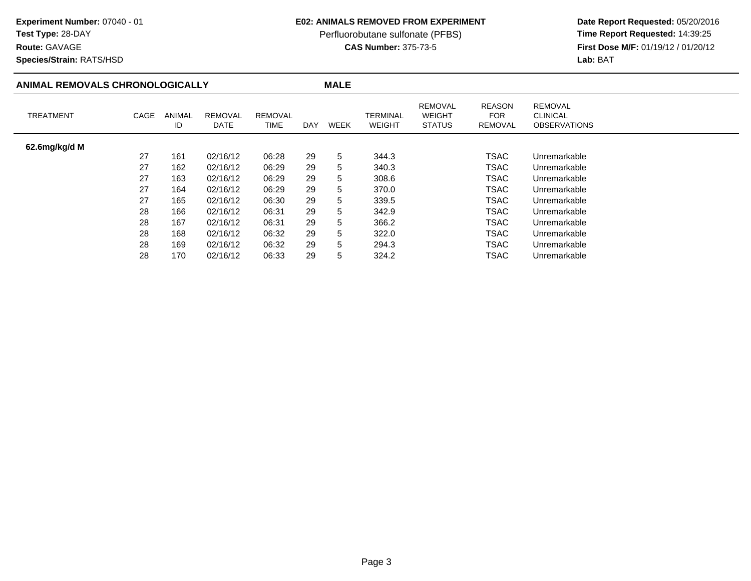## **Test Type:** 28-DAY

**Route:** GAVAGE

**Species/Strain:** RATS/HSD

### **E02: ANIMALS REMOVED FROM EXPERIMENT**

Perfluorobutane sulfonate (PFBS)<br>**CAS Number:** 375-73-5

| ANIMAL REMOVALS CHRONOLOGICALLY |      |              |                        |                 |     | <b>MALE</b> |                           |                                                  |                                        |                                                          |  |
|---------------------------------|------|--------------|------------------------|-----------------|-----|-------------|---------------------------|--------------------------------------------------|----------------------------------------|----------------------------------------------------------|--|
| <b>TREATMENT</b>                | CAGE | ANIMAL<br>ID | <b>REMOVAL</b><br>DATE | REMOVAL<br>TIME | DAY | <b>WEEK</b> | TERMINAL<br><b>WEIGHT</b> | <b>REMOVAL</b><br><b>WEIGHT</b><br><b>STATUS</b> | <b>REASON</b><br><b>FOR</b><br>REMOVAL | <b>REMOVAL</b><br><b>CLINICAL</b><br><b>OBSERVATIONS</b> |  |
| 62.6mg/kg/d M                   |      |              |                        |                 |     |             |                           |                                                  |                                        |                                                          |  |
|                                 | 27   | 161          | 02/16/12               | 06:28           | 29  | 5           | 344.3                     |                                                  | <b>TSAC</b>                            | Unremarkable                                             |  |
|                                 | 27   | 162          | 02/16/12               | 06:29           | 29  | 5           | 340.3                     |                                                  | <b>TSAC</b>                            | Unremarkable                                             |  |
|                                 | 27   | 163          | 02/16/12               | 06:29           | 29  | 5           | 308.6                     |                                                  | <b>TSAC</b>                            | Unremarkable                                             |  |
|                                 | 27   | 164          | 02/16/12               | 06:29           | 29  | 5           | 370.0                     |                                                  | TSAC                                   | Unremarkable                                             |  |
|                                 | 27   | 165          | 02/16/12               | 06:30           | 29  | 5           | 339.5                     |                                                  | <b>TSAC</b>                            | Unremarkable                                             |  |
|                                 | 28   | 166          | 02/16/12               | 06:31           | 29  | 5           | 342.9                     |                                                  | TSAC                                   | Unremarkable                                             |  |
|                                 | 28   | 167          | 02/16/12               | 06:31           | 29  | 5           | 366.2                     |                                                  | <b>TSAC</b>                            | Unremarkable                                             |  |
|                                 | 28   | 168          | 02/16/12               | 06:32           | 29  | 5           | 322.0                     |                                                  | TSAC                                   | Unremarkable                                             |  |
|                                 | 28   | 169          | 02/16/12               | 06:32           | 29  | 5           | 294.3                     |                                                  | <b>TSAC</b>                            | Unremarkable                                             |  |
|                                 | 28   | 170          | 02/16/12               | 06:33           | 29  | 5           | 324.2                     |                                                  | TSAC                                   | Unremarkable                                             |  |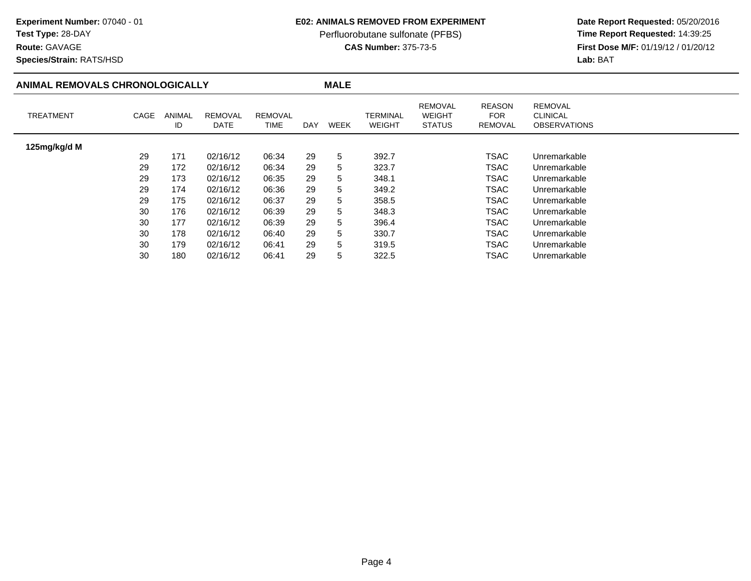# **Test Type:** 28-DAY

**Route:** GAVAGE

**Species/Strain:** RATS/HSD

### **E02: ANIMALS REMOVED FROM EXPERIMENT**

Perfluorobutane sulfonate (PFBS)<br>**CAS Number:** 375-73-5

| ANIMAL REMOVALS CHRONOLOGICALLY |      |              |                        |                 |     | <b>MALE</b> |                           |                                           |                                               |                                                          |  |
|---------------------------------|------|--------------|------------------------|-----------------|-----|-------------|---------------------------|-------------------------------------------|-----------------------------------------------|----------------------------------------------------------|--|
| <b>TREATMENT</b>                | CAGE | ANIMAL<br>ID | <b>REMOVAL</b><br>DATE | REMOVAL<br>TIME | DAY | <b>WEEK</b> | TERMINAL<br><b>WEIGHT</b> | REMOVAL<br><b>WEIGHT</b><br><b>STATUS</b> | <b>REASON</b><br><b>FOR</b><br><b>REMOVAL</b> | <b>REMOVAL</b><br><b>CLINICAL</b><br><b>OBSERVATIONS</b> |  |
| 125mg/kg/d M                    |      |              |                        |                 |     |             |                           |                                           |                                               |                                                          |  |
|                                 | 29   | 171          | 02/16/12               | 06:34           | 29  | 5           | 392.7                     |                                           | <b>TSAC</b>                                   | Unremarkable                                             |  |
|                                 | 29   | 172          | 02/16/12               | 06:34           | 29  | 5           | 323.7                     |                                           | <b>TSAC</b>                                   | Unremarkable                                             |  |
|                                 | 29   | 173          | 02/16/12               | 06:35           | 29  | 5           | 348.1                     |                                           | <b>TSAC</b>                                   | Unremarkable                                             |  |
|                                 | 29   | 174          | 02/16/12               | 06:36           | 29  | 5           | 349.2                     |                                           | <b>TSAC</b>                                   | Unremarkable                                             |  |
|                                 | 29   | 175          | 02/16/12               | 06:37           | 29  | 5           | 358.5                     |                                           | <b>TSAC</b>                                   | Unremarkable                                             |  |
|                                 | 30   | 176          | 02/16/12               | 06:39           | 29  | 5           | 348.3                     |                                           | <b>TSAC</b>                                   | Unremarkable                                             |  |
|                                 | 30   | 177          | 02/16/12               | 06:39           | 29  | 5           | 396.4                     |                                           | TSAC                                          | Unremarkable                                             |  |
|                                 | 30   | 178          | 02/16/12               | 06:40           | 29  | 5           | 330.7                     |                                           | <b>TSAC</b>                                   | Unremarkable                                             |  |
|                                 | 30   | 179          | 02/16/12               | 06:41           | 29  | 5           | 319.5                     |                                           | <b>TSAC</b>                                   | Unremarkable                                             |  |
|                                 | 30   | 180          | 02/16/12               | 06:41           | 29  | 5           | 322.5                     |                                           | <b>TSAC</b>                                   | Unremarkable                                             |  |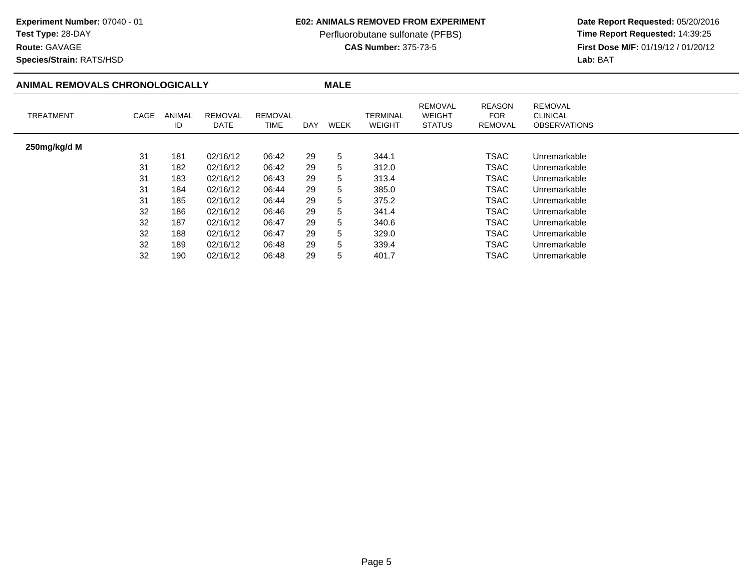# **Test Type:** 28-DAY

**Route:** GAVAGE

**Species/Strain:** RATS/HSD

### **E02: ANIMALS REMOVED FROM EXPERIMENT**

Perfluorobutane sulfonate (PFBS)<br>**CAS Number:** 375-73-5

| ANIMAL REMOVALS CHRONOLOGICALLY |      |              |                        |                        |            | <b>MALE</b> |                           |                                                  |                                        |                                                          |  |
|---------------------------------|------|--------------|------------------------|------------------------|------------|-------------|---------------------------|--------------------------------------------------|----------------------------------------|----------------------------------------------------------|--|
| <b>TREATMENT</b>                | CAGE | ANIMAL<br>ID | <b>REMOVAL</b><br>DATE | <b>REMOVAL</b><br>TIME | <b>DAY</b> | <b>WEEK</b> | TERMINAL<br><b>WEIGHT</b> | <b>REMOVAL</b><br><b>WEIGHT</b><br><b>STATUS</b> | <b>REASON</b><br><b>FOR</b><br>REMOVAL | <b>REMOVAL</b><br><b>CLINICAL</b><br><b>OBSERVATIONS</b> |  |
| 250mg/kg/d M                    |      |              |                        |                        |            |             |                           |                                                  |                                        |                                                          |  |
|                                 | 31   | 181          | 02/16/12               | 06:42                  | 29         | 5           | 344.1                     |                                                  | <b>TSAC</b>                            | Unremarkable                                             |  |
|                                 | 31   | 182          | 02/16/12               | 06:42                  | 29         | 5           | 312.0                     |                                                  | <b>TSAC</b>                            | Unremarkable                                             |  |
|                                 | 31   | 183          | 02/16/12               | 06:43                  | 29         | 5           | 313.4                     |                                                  | <b>TSAC</b>                            | Unremarkable                                             |  |
|                                 | 31   | 184          | 02/16/12               | 06:44                  | 29         | 5           | 385.0                     |                                                  | TSAC                                   | Unremarkable                                             |  |
|                                 | 31   | 185          | 02/16/12               | 06:44                  | 29         | 5           | 375.2                     |                                                  | <b>TSAC</b>                            | Unremarkable                                             |  |
|                                 | 32   | 186          | 02/16/12               | 06:46                  | 29         | 5           | 341.4                     |                                                  | <b>TSAC</b>                            | Unremarkable                                             |  |
|                                 | 32   | 187          | 02/16/12               | 06:47                  | 29         | 5           | 340.6                     |                                                  | <b>TSAC</b>                            | Unremarkable                                             |  |
|                                 | 32   | 188          | 02/16/12               | 06:47                  | 29         | 5           | 329.0                     |                                                  | TSAC                                   | Unremarkable                                             |  |
|                                 | 32   | 189          | 02/16/12               | 06:48                  | 29         | 5           | 339.4                     |                                                  | <b>TSAC</b>                            | Unremarkable                                             |  |
|                                 | 32   | 190          | 02/16/12               | 06:48                  | 29         | 5           | 401.7                     |                                                  | <b>TSAC</b>                            | Unremarkable                                             |  |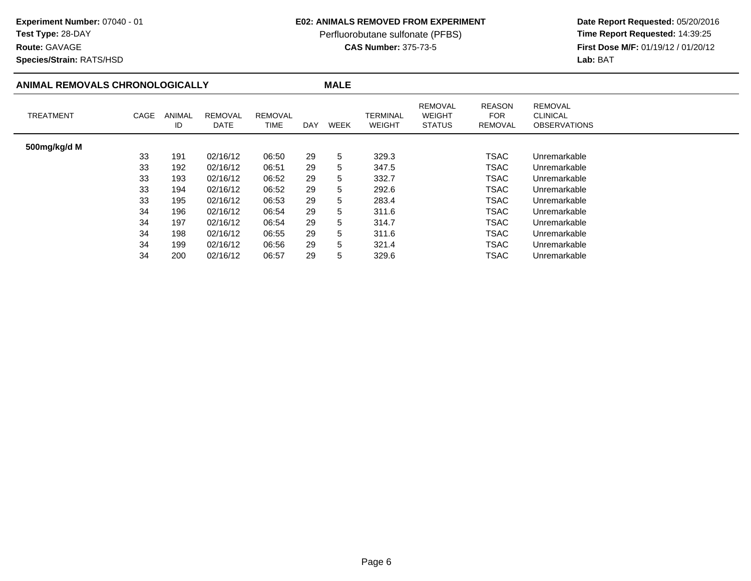**Route:** GAVAGE

**Species/Strain:** RATS/HSD

#### **E02: ANIMALS REMOVED FROM EXPERIMENT**

Perfluorobutane sulfonate (PFBS)<br>**CAS Number:** 375-73-5

| ANIMAL REMOVALS CHRONOLOGICALLY |      |                     |                        |                        |            | <b>MALE</b> |                           |                                                  |                                        |                                                          |
|---------------------------------|------|---------------------|------------------------|------------------------|------------|-------------|---------------------------|--------------------------------------------------|----------------------------------------|----------------------------------------------------------|
| <b>TREATMENT</b>                | CAGE | <b>ANIMAL</b><br>ID | <b>REMOVAL</b><br>DATE | <b>REMOVAL</b><br>TIME | <b>DAY</b> | <b>WEEK</b> | TERMINAL<br><b>WEIGHT</b> | <b>REMOVAL</b><br><b>WEIGHT</b><br><b>STATUS</b> | <b>REASON</b><br><b>FOR</b><br>REMOVAL | <b>REMOVAL</b><br><b>CLINICAL</b><br><b>OBSERVATIONS</b> |
| 500mg/kg/d M                    |      |                     |                        |                        |            |             |                           |                                                  |                                        |                                                          |
|                                 | 33   | 191                 | 02/16/12               | 06:50                  | 29         | 5           | 329.3                     |                                                  | <b>TSAC</b>                            | Unremarkable                                             |
|                                 | 33   | 192                 | 02/16/12               | 06:51                  | 29         | 5           | 347.5                     |                                                  | <b>TSAC</b>                            | Unremarkable                                             |
|                                 | 33   | 193                 | 02/16/12               | 06:52                  | 29         | 5           | 332.7                     |                                                  | <b>TSAC</b>                            | Unremarkable                                             |
|                                 | 33   | 194                 | 02/16/12               | 06:52                  | 29         | 5           | 292.6                     |                                                  | TSAC                                   | Unremarkable                                             |
|                                 | 33   | 195                 | 02/16/12               | 06:53                  | 29         | 5           | 283.4                     |                                                  | <b>TSAC</b>                            | Unremarkable                                             |
|                                 | 34   | 196                 | 02/16/12               | 06:54                  | 29         | 5           | 311.6                     |                                                  | <b>TSAC</b>                            | Unremarkable                                             |
|                                 | 34   | 197                 | 02/16/12               | 06:54                  | 29         | 5           | 314.7                     |                                                  | TSAC                                   | Unremarkable                                             |
|                                 | 34   | 198                 | 02/16/12               | 06:55                  | 29         | 5           | 311.6                     |                                                  | <b>TSAC</b>                            | Unremarkable                                             |
|                                 | 34   | 199                 | 02/16/12               | 06:56                  | 29         | 5           | 321.4                     |                                                  | TSAC                                   | Unremarkable                                             |
|                                 | 34   | 200                 | 02/16/12               | 06:57                  | 29         | 5           | 329.6                     |                                                  | <b>TSAC</b>                            | Unremarkable                                             |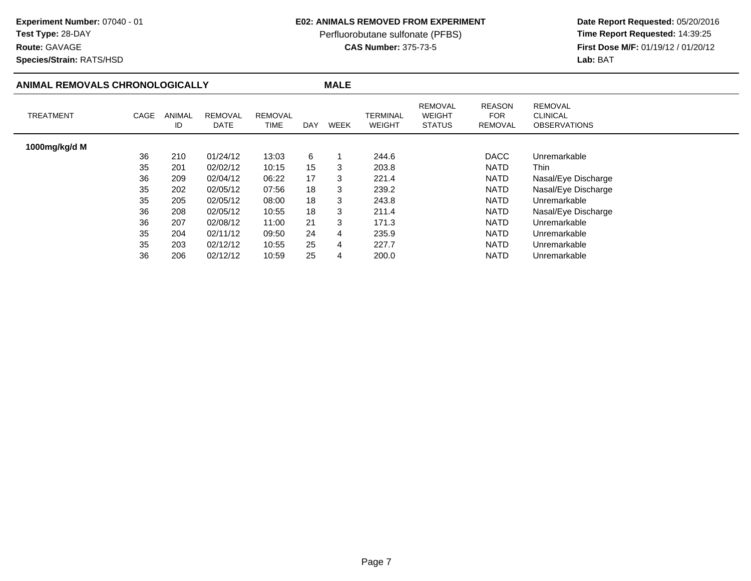**Route:** GAVAGE

**Species/Strain:** RATS/HSD

#### **E02: ANIMALS REMOVED FROM EXPERIMENT**

Perfluorobutane sulfonate (PFBS)<br>**CAS Number:** 375-73-5

| ANIMAL REMOVALS CHRONOLOGICALLY |      |              |                        |                        |            | <b>MALE</b> |                           |                                                  |                                               |                                                          |
|---------------------------------|------|--------------|------------------------|------------------------|------------|-------------|---------------------------|--------------------------------------------------|-----------------------------------------------|----------------------------------------------------------|
| <b>TREATMENT</b>                | CAGE | ANIMAL<br>ID | <b>REMOVAL</b><br>DATE | <b>REMOVAL</b><br>TIME | <b>DAY</b> | WEEK        | TERMINAL<br><b>WEIGHT</b> | <b>REMOVAL</b><br><b>WEIGHT</b><br><b>STATUS</b> | <b>REASON</b><br><b>FOR</b><br><b>REMOVAL</b> | <b>REMOVAL</b><br><b>CLINICAL</b><br><b>OBSERVATIONS</b> |
| 1000mg/kg/d M                   |      |              |                        |                        |            |             |                           |                                                  |                                               |                                                          |
|                                 | 36   | 210          | 01/24/12               | 13:03                  | 6          |             | 244.6                     |                                                  | <b>DACC</b>                                   | Unremarkable                                             |
|                                 | 35   | 201          | 02/02/12               | 10:15                  | 15         | 3           | 203.8                     |                                                  | NATD                                          | Thin                                                     |
|                                 | 36   | 209          | 02/04/12               | 06:22                  | 17         | 3           | 221.4                     |                                                  | NATD                                          | Nasal/Eye Discharge                                      |
|                                 | 35   | 202          | 02/05/12               | 07:56                  | 18         | 3           | 239.2                     |                                                  | <b>NATD</b>                                   | Nasal/Eye Discharge                                      |
|                                 | 35   | 205          | 02/05/12               | 08:00                  | 18         | 3           | 243.8                     |                                                  | <b>NATD</b>                                   | Unremarkable                                             |
|                                 | 36   | 208          | 02/05/12               | 10:55                  | 18         | 3           | 211.4                     |                                                  | <b>NATD</b>                                   | Nasal/Eye Discharge                                      |
|                                 | 36   | 207          | 02/08/12               | 11:00                  | 21         | 3           | 171.3                     |                                                  | <b>NATD</b>                                   | Unremarkable                                             |
|                                 | 35   | 204          | 02/11/12               | 09:50                  | 24         | 4           | 235.9                     |                                                  | <b>NATD</b>                                   | Unremarkable                                             |
|                                 | 35   | 203          | 02/12/12               | 10:55                  | 25         | 4           | 227.7                     |                                                  | <b>NATD</b>                                   | Unremarkable                                             |
|                                 | 36   | 206          | 02/12/12               | 10:59                  | 25         | 4           | 200.0                     |                                                  | <b>NATD</b>                                   | Unremarkable                                             |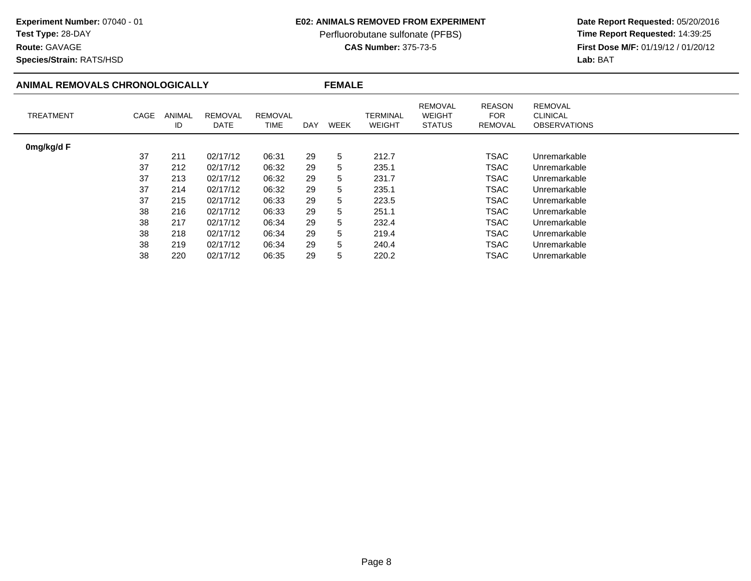# **Test Type:** 28-DAY

**Route:** GAVAGE

**Species/Strain:** RATS/HSD

### **E02: ANIMALS REMOVED FROM EXPERIMENT**

Perfluorobutane sulfonate (PFBS)<br>**CAS Number:** 375-73-5

| ANIMAL REMOVALS CHRONOLOGICALLY |      |              | <b>FEMALE</b>          |                        |     |             |                           |                                                  |                                               |                                                          |
|---------------------------------|------|--------------|------------------------|------------------------|-----|-------------|---------------------------|--------------------------------------------------|-----------------------------------------------|----------------------------------------------------------|
| <b>TREATMENT</b>                | CAGE | ANIMAL<br>ID | <b>REMOVAL</b><br>DATE | <b>REMOVAL</b><br>TIME | DAY | <b>WEEK</b> | TERMINAL<br><b>WEIGHT</b> | <b>REMOVAL</b><br><b>WEIGHT</b><br><b>STATUS</b> | <b>REASON</b><br><b>FOR</b><br><b>REMOVAL</b> | <b>REMOVAL</b><br><b>CLINICAL</b><br><b>OBSERVATIONS</b> |
| 0mg/kg/d F                      |      |              |                        |                        |     |             |                           |                                                  |                                               |                                                          |
|                                 | 37   | 211          | 02/17/12               | 06:31                  | 29  | 5           | 212.7                     |                                                  | <b>TSAC</b>                                   | Unremarkable                                             |
|                                 | 37   | 212          | 02/17/12               | 06:32                  | 29  | 5           | 235.1                     |                                                  | <b>TSAC</b>                                   | Unremarkable                                             |
|                                 | 37   | 213          | 02/17/12               | 06:32                  | 29  | 5           | 231.7                     |                                                  | <b>TSAC</b>                                   | Unremarkable                                             |
|                                 | 37   | 214          | 02/17/12               | 06:32                  | 29  | 5           | 235.1                     |                                                  | <b>TSAC</b>                                   | Unremarkable                                             |
|                                 | 37   | 215          | 02/17/12               | 06:33                  | 29  | 5           | 223.5                     |                                                  | <b>TSAC</b>                                   | Unremarkable                                             |
|                                 | 38   | 216          | 02/17/12               | 06:33                  | 29  | 5           | 251.1                     |                                                  | TSAC                                          | Unremarkable                                             |
|                                 | 38   | 217          | 02/17/12               | 06:34                  | 29  | 5           | 232.4                     |                                                  | <b>TSAC</b>                                   | Unremarkable                                             |
|                                 | 38   | 218          | 02/17/12               | 06:34                  | 29  | 5           | 219.4                     |                                                  | <b>TSAC</b>                                   | Unremarkable                                             |
|                                 | 38   | 219          | 02/17/12               | 06:34                  | 29  | 5           | 240.4                     |                                                  | <b>TSAC</b>                                   | Unremarkable                                             |
|                                 | 38   | 220          | 02/17/12               | 06:35                  | 29  | 5           | 220.2                     |                                                  | <b>TSAC</b>                                   | Unremarkable                                             |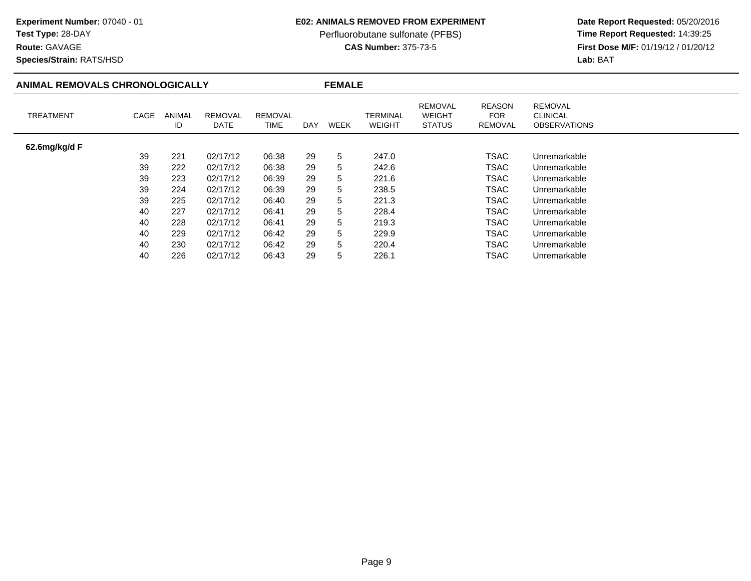# **Test Type:** 28-DAY

**Route:** GAVAGE

**Species/Strain:** RATS/HSD

### **E02: ANIMALS REMOVED FROM EXPERIMENT**

Perfluorobutane sulfonate (PFBS)<br>**CAS Number:** 375-73-5

| ANIMAL REMOVALS CHRONOLOGICALLY |      |                     | <b>FEMALE</b>          |                        |            |             |                           |                                                  |                                               |                                                          |  |
|---------------------------------|------|---------------------|------------------------|------------------------|------------|-------------|---------------------------|--------------------------------------------------|-----------------------------------------------|----------------------------------------------------------|--|
| <b>TREATMENT</b>                | CAGE | <b>ANIMAL</b><br>ID | <b>REMOVAL</b><br>DATE | <b>REMOVAL</b><br>TIME | <b>DAY</b> | <b>WEEK</b> | TERMINAL<br><b>WEIGHT</b> | <b>REMOVAL</b><br><b>WEIGHT</b><br><b>STATUS</b> | <b>REASON</b><br><b>FOR</b><br><b>REMOVAL</b> | <b>REMOVAL</b><br><b>CLINICAL</b><br><b>OBSERVATIONS</b> |  |
| 62.6mg/kg/d F                   |      |                     |                        |                        |            |             |                           |                                                  |                                               |                                                          |  |
|                                 | 39   | 221                 | 02/17/12               | 06:38                  | 29         | 5           | 247.0                     |                                                  | <b>TSAC</b>                                   | Unremarkable                                             |  |
|                                 | 39   | 222                 | 02/17/12               | 06:38                  | 29         | 5           | 242.6                     |                                                  | <b>TSAC</b>                                   | Unremarkable                                             |  |
|                                 | 39   | 223                 | 02/17/12               | 06:39                  | 29         | 5           | 221.6                     |                                                  | <b>TSAC</b>                                   | Unremarkable                                             |  |
|                                 | 39   | 224                 | 02/17/12               | 06:39                  | 29         | 5           | 238.5                     |                                                  | TSAC                                          | Unremarkable                                             |  |
|                                 | 39   | 225                 | 02/17/12               | 06:40                  | 29         | 5           | 221.3                     |                                                  | <b>TSAC</b>                                   | Unremarkable                                             |  |
|                                 | 40   | 227                 | 02/17/12               | 06:41                  | 29         | 5           | 228.4                     |                                                  | <b>TSAC</b>                                   | Unremarkable                                             |  |
|                                 | 40   | 228                 | 02/17/12               | 06:41                  | 29         | 5           | 219.3                     |                                                  | TSAC                                          | Unremarkable                                             |  |
|                                 | 40   | 229                 | 02/17/12               | 06:42                  | 29         | 5           | 229.9                     |                                                  | <b>TSAC</b>                                   | Unremarkable                                             |  |
|                                 | 40   | 230                 | 02/17/12               | 06:42                  | 29         | 5           | 220.4                     |                                                  | TSAC                                          | Unremarkable                                             |  |
|                                 | 40   | 226                 | 02/17/12               | 06:43                  | 29         | 5           | 226.1                     |                                                  | TSAC                                          | Unremarkable                                             |  |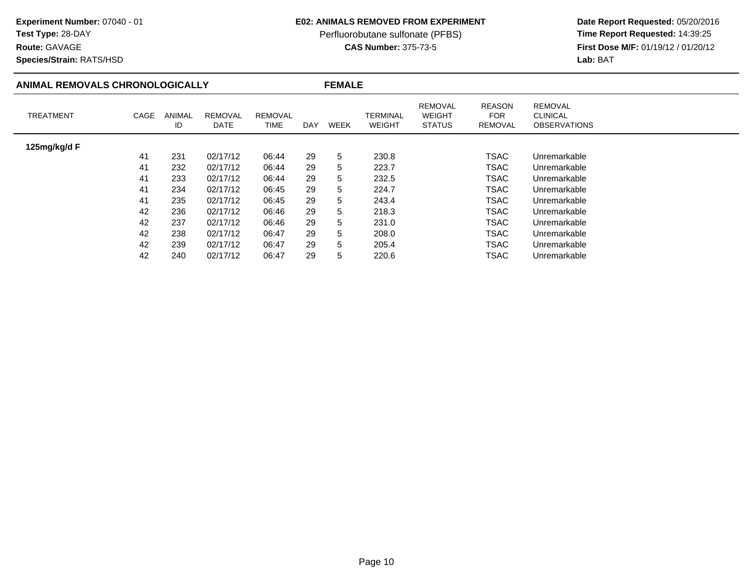# **Test Type:** 28-DAY

**Route:** GAVAGE

**Species/Strain:** RATS/HSD

### **E02: ANIMALS REMOVED FROM EXPERIMENT**

Perfluorobutane sulfonate (PFBS)<br>**CAS Number:** 375-73-5

| ANIMAL REMOVALS CHRONOLOGICALLY |      |              |                        | <b>FEMALE</b>                 |     |      |                           |                                                  |                                        |                                                          |  |
|---------------------------------|------|--------------|------------------------|-------------------------------|-----|------|---------------------------|--------------------------------------------------|----------------------------------------|----------------------------------------------------------|--|
| <b>TREATMENT</b>                | CAGE | ANIMAL<br>ID | <b>REMOVAL</b><br>DATE | <b>REMOVAL</b><br><b>TIME</b> | DAY | WEEK | TERMINAL<br><b>WEIGHT</b> | <b>REMOVAL</b><br><b>WEIGHT</b><br><b>STATUS</b> | <b>REASON</b><br><b>FOR</b><br>REMOVAL | <b>REMOVAL</b><br><b>CLINICAL</b><br><b>OBSERVATIONS</b> |  |
| 125mg/kg/d F                    |      |              |                        |                               |     |      |                           |                                                  |                                        |                                                          |  |
|                                 | 41   | 231          | 02/17/12               | 06:44                         | 29  | 5    | 230.8                     |                                                  | TSAC                                   | Unremarkable                                             |  |
|                                 | 41   | 232          | 02/17/12               | 06:44                         | 29  | 5    | 223.7                     |                                                  | <b>TSAC</b>                            | Unremarkable                                             |  |
|                                 | 41   | 233          | 02/17/12               | 06:44                         | 29  | 5    | 232.5                     |                                                  | <b>TSAC</b>                            | Unremarkable                                             |  |
|                                 | 41   | 234          | 02/17/12               | 06:45                         | 29  | 5    | 224.7                     |                                                  | <b>TSAC</b>                            | Unremarkable                                             |  |
|                                 | 41   | 235          | 02/17/12               | 06:45                         | 29  | 5    | 243.4                     |                                                  | <b>TSAC</b>                            | Unremarkable                                             |  |
|                                 | 42   | 236          | 02/17/12               | 06:46                         | 29  | 5    | 218.3                     |                                                  | <b>TSAC</b>                            | Unremarkable                                             |  |
|                                 | 42   | 237          | 02/17/12               | 06:46                         | 29  | 5    | 231.0                     |                                                  | <b>TSAC</b>                            | Unremarkable                                             |  |
|                                 | 42   | 238          | 02/17/12               | 06:47                         | 29  | 5    | 208.0                     |                                                  | <b>TSAC</b>                            | Unremarkable                                             |  |
|                                 | 42   | 239          | 02/17/12               | 06:47                         | 29  | 5    | 205.4                     |                                                  | TSAC                                   | Unremarkable                                             |  |
|                                 | 42   | 240          | 02/17/12               | 06:47                         | 29  | 5    | 220.6                     |                                                  | TSAC                                   | Unremarkable                                             |  |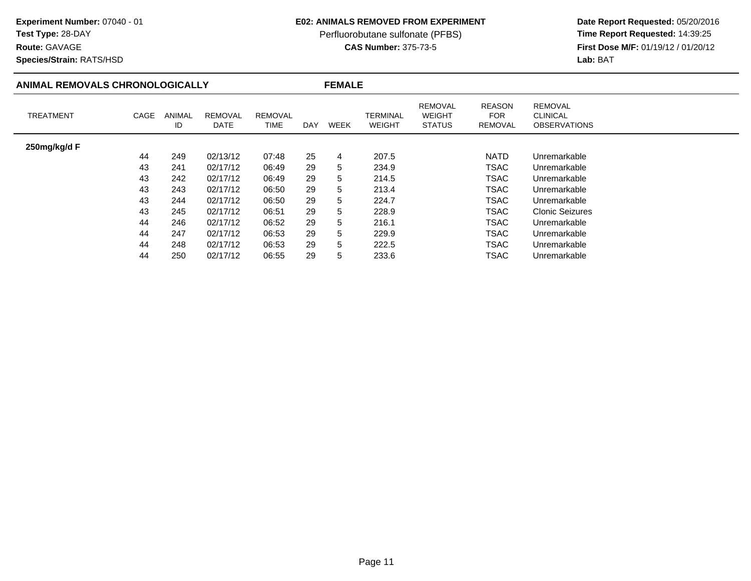**Route:** GAVAGE

**Species/Strain:** RATS/HSD

### **E02: ANIMALS REMOVED FROM EXPERIMENT**

Perfluorobutane sulfonate (PFBS)<br>**CAS Number:** 375-73-5

| ANIMAL REMOVALS CHRONOLOGICALLY |      |                     | <b>FEMALE</b>          |                        |     |      |                           |                                                  |                                        |                                                          |
|---------------------------------|------|---------------------|------------------------|------------------------|-----|------|---------------------------|--------------------------------------------------|----------------------------------------|----------------------------------------------------------|
| <b>TREATMENT</b>                | CAGE | <b>ANIMAL</b><br>ID | <b>REMOVAL</b><br>DATE | <b>REMOVAL</b><br>TIME | DAY | WEEK | TERMINAL<br><b>WEIGHT</b> | <b>REMOVAL</b><br><b>WEIGHT</b><br><b>STATUS</b> | <b>REASON</b><br><b>FOR</b><br>REMOVAL | <b>REMOVAL</b><br><b>CLINICAL</b><br><b>OBSERVATIONS</b> |
| 250mg/kg/d F                    |      |                     |                        |                        |     |      |                           |                                                  |                                        |                                                          |
|                                 | 44   | 249                 | 02/13/12               | 07:48                  | 25  | 4    | 207.5                     |                                                  | <b>NATD</b>                            | Unremarkable                                             |
|                                 | 43   | 241                 | 02/17/12               | 06:49                  | 29  | 5    | 234.9                     |                                                  | TSAC                                   | Unremarkable                                             |
|                                 | 43   | 242                 | 02/17/12               | 06:49                  | 29  | 5    | 214.5                     |                                                  | <b>TSAC</b>                            | Unremarkable                                             |
|                                 | 43   | 243                 | 02/17/12               | 06:50                  | 29  | 5    | 213.4                     |                                                  | <b>TSAC</b>                            | Unremarkable                                             |
|                                 | 43   | 244                 | 02/17/12               | 06:50                  | 29  | 5    | 224.7                     |                                                  | <b>TSAC</b>                            | Unremarkable                                             |
|                                 | 43   | 245                 | 02/17/12               | 06:51                  | 29  | 5    | 228.9                     |                                                  | TSAC                                   | <b>Clonic Seizures</b>                                   |
|                                 | 44   | 246                 | 02/17/12               | 06:52                  | 29  | 5    | 216.1                     |                                                  | <b>TSAC</b>                            | Unremarkable                                             |
|                                 | 44   | 247                 | 02/17/12               | 06:53                  | 29  | 5    | 229.9                     |                                                  | <b>TSAC</b>                            | Unremarkable                                             |
|                                 | 44   | 248                 | 02/17/12               | 06:53                  | 29  | 5    | 222.5                     |                                                  | <b>TSAC</b>                            | Unremarkable                                             |
|                                 | 44   | 250                 | 02/17/12               | 06:55                  | 29  | 5    | 233.6                     |                                                  | TSAC                                   | Unremarkable                                             |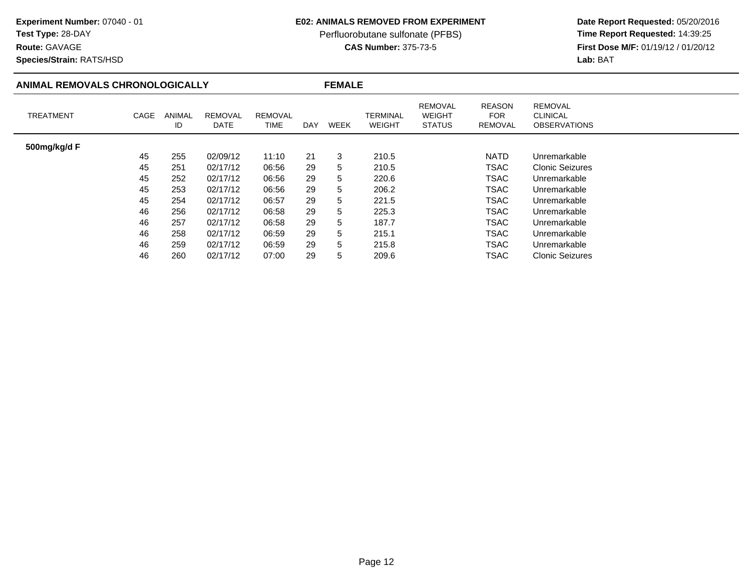### **E02: ANIMALS REMOVED FROM EXPERIMENT**

Perfluorobutane sulfonate (PFBS)<br>**CAS Number:** 375-73-5

 **Date Report Requested:** 05/20/2016 **First Dose M/F:** 01/19/12 / 01/20/12<br>Lab: BAT **Lab:** BAT

**Species/Strain:** RATS/HSD

**Route:** GAVAGE

### **ANIMAL REMOVALS CHRONOLOGICALLY**

**FEMALE**

| <b>TREATMENT</b> | CAGE | <b>ANIMAL</b><br>ID | <b>REMOVAL</b><br>DATE | <b>REMOVAL</b><br>TIME | <b>DAY</b> | WEEK | <b>TERMINAL</b><br><b>WEIGHT</b> | <b>REMOVAL</b><br><b>WEIGHT</b><br><b>STATUS</b> | <b>REASON</b><br><b>FOR</b><br>REMOVAL | <b>REMOVAL</b><br><b>CLINICAL</b><br><b>OBSERVATIONS</b> |
|------------------|------|---------------------|------------------------|------------------------|------------|------|----------------------------------|--------------------------------------------------|----------------------------------------|----------------------------------------------------------|
| 500mg/kg/d F     |      |                     |                        |                        |            |      |                                  |                                                  |                                        |                                                          |
|                  | 45   | 255                 | 02/09/12               | 11:10                  | 21         | 3    | 210.5                            |                                                  | NATD                                   | Unremarkable                                             |
|                  | 45   | 251                 | 02/17/12               | 06:56                  | 29         | 5    | 210.5                            |                                                  | <b>TSAC</b>                            | <b>Clonic Seizures</b>                                   |
|                  | 45   | 252                 | 02/17/12               | 06:56                  | 29         | 5    | 220.6                            |                                                  | <b>TSAC</b>                            | Unremarkable                                             |
|                  | 45   | 253                 | 02/17/12               | 06:56                  | 29         | 5    | 206.2                            |                                                  | <b>TSAC</b>                            | Unremarkable                                             |
|                  | 45   | 254                 | 02/17/12               | 06:57                  | 29         | 5    | 221.5                            |                                                  | <b>TSAC</b>                            | Unremarkable                                             |
|                  | 46   | 256                 | 02/17/12               | 06:58                  | 29         | 5    | 225.3                            |                                                  | <b>TSAC</b>                            | Unremarkable                                             |
|                  | 46   | 257                 | 02/17/12               | 06:58                  | 29         | 5    | 187.7                            |                                                  | <b>TSAC</b>                            | Unremarkable                                             |
|                  | 46   | 258                 | 02/17/12               | 06:59                  | 29         | 5.   | 215.1                            |                                                  | <b>TSAC</b>                            | Unremarkable                                             |
|                  | 46   | 259                 | 02/17/12               | 06:59                  | 29         | 5.   | 215.8                            |                                                  | <b>TSAC</b>                            | Unremarkable                                             |
|                  | 46   | 260                 | 02/17/12               | 07:00                  | 29         | 5    | 209.6                            |                                                  | <b>TSAC</b>                            | <b>Clonic Seizures</b>                                   |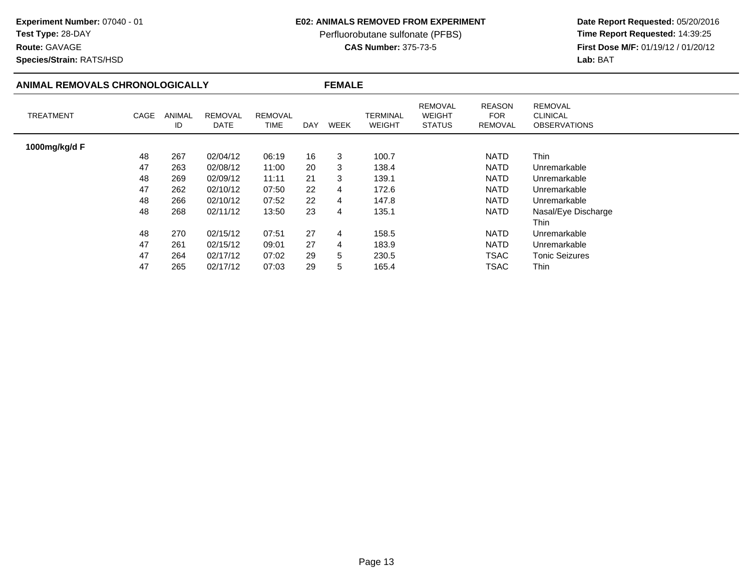# **Test Type:** 28-DAY

**Route:** GAVAGE

**Species/Strain:** RATS/HSD

### **E02: ANIMALS REMOVED FROM EXPERIMENT**

Perfluorobutane sulfonate (PFBS)<br>**CAS Number:** 375-73-5

|                  | ANIMAL REMOVALS CHRONOLOGICALLY |              |                        |                               |     | <b>FEMALE</b>  |                           |                                                  |                           |                                                          |
|------------------|---------------------------------|--------------|------------------------|-------------------------------|-----|----------------|---------------------------|--------------------------------------------------|---------------------------|----------------------------------------------------------|
| <b>TREATMENT</b> | CAGE                            | ANIMAL<br>ID | <b>REMOVAL</b><br>DATE | <b>REMOVAL</b><br><b>TIME</b> | DAY | <b>WEEK</b>    | TERMINAL<br><b>WEIGHT</b> | <b>REMOVAL</b><br><b>WEIGHT</b><br><b>STATUS</b> | REASON<br>FOR.<br>REMOVAL | <b>REMOVAL</b><br><b>CLINICAL</b><br><b>OBSERVATIONS</b> |
| 1000mg/kg/d F    |                                 |              |                        |                               |     |                |                           |                                                  |                           |                                                          |
|                  | 48                              | 267          | 02/04/12               | 06:19                         | 16  | 3              | 100.7                     |                                                  | <b>NATD</b>               | Thin                                                     |
|                  | 47                              | 263          | 02/08/12               | 11:00                         | 20  | 3              | 138.4                     |                                                  | <b>NATD</b>               | Unremarkable                                             |
|                  | 48                              | 269          | 02/09/12               | 11:11                         | 21  | 3              | 139.1                     |                                                  | <b>NATD</b>               | Unremarkable                                             |
|                  | 47                              | 262          | 02/10/12               | 07:50                         | 22  | $\overline{4}$ | 172.6                     |                                                  | <b>NATD</b>               | Unremarkable                                             |
|                  | 48                              | 266          | 02/10/12               | 07:52                         | 22  | 4              | 147.8                     |                                                  | <b>NATD</b>               | Unremarkable                                             |
|                  | 48                              | 268          | 02/11/12               | 13:50                         | 23  | 4              | 135.1                     |                                                  | <b>NATD</b>               | Nasal/Eye Discharge                                      |
|                  |                                 |              |                        |                               |     |                |                           |                                                  |                           | Thin                                                     |
|                  | 48                              | 270          | 02/15/12               | 07:51                         | 27  | $\overline{4}$ | 158.5                     |                                                  | <b>NATD</b>               | Unremarkable                                             |
|                  | 47                              | 261          | 02/15/12               | 09:01                         | 27  | 4              | 183.9                     |                                                  | <b>NATD</b>               | Unremarkable                                             |
|                  | 47                              | 264          | 02/17/12               | 07:02                         | 29  | 5              | 230.5                     |                                                  | <b>TSAC</b>               | <b>Tonic Seizures</b>                                    |
|                  | 47                              | 265          | 02/17/12               | 07:03                         | 29  | 5              | 165.4                     |                                                  | TSAC                      | Thin                                                     |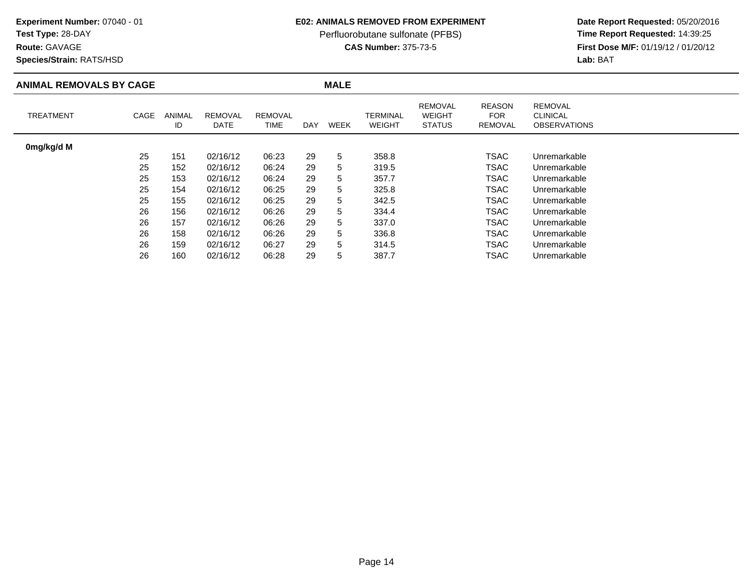## **Test Type:** 28-DAY

**Route:** GAVAGE

**Species/Strain:** RATS/HSD

#### **E02: ANIMALS REMOVED FROM EXPERIMENT**

Perfluorobutane sulfonate (PFBS)<br>**CAS Number:** 375-73-5

| <b>ANIMAL REMOVALS BY CAGE</b> |      |              |                        |                        |            | <b>MALE</b> |                           |                                                  |                                        |                                                          |  |
|--------------------------------|------|--------------|------------------------|------------------------|------------|-------------|---------------------------|--------------------------------------------------|----------------------------------------|----------------------------------------------------------|--|
| <b>TREATMENT</b>               | CAGE | ANIMAL<br>ID | <b>REMOVAL</b><br>DATE | <b>REMOVAL</b><br>TIME | <b>DAY</b> | WEEK        | TERMINAL<br><b>WEIGHT</b> | <b>REMOVAL</b><br><b>WEIGHT</b><br><b>STATUS</b> | <b>REASON</b><br><b>FOR</b><br>REMOVAL | <b>REMOVAL</b><br><b>CLINICAL</b><br><b>OBSERVATIONS</b> |  |
| 0mg/kg/d M                     |      |              |                        |                        |            |             |                           |                                                  |                                        |                                                          |  |
|                                | 25   | 151          | 02/16/12               | 06:23                  | 29         | 5           | 358.8                     |                                                  | TSAC                                   | Unremarkable                                             |  |
|                                | 25   | 152          | 02/16/12               | 06:24                  | 29         | 5           | 319.5                     |                                                  | TSAC                                   | Unremarkable                                             |  |
|                                | 25   | 153          | 02/16/12               | 06:24                  | 29         | 5           | 357.7                     |                                                  | <b>TSAC</b>                            | Unremarkable                                             |  |
|                                | 25   | 154          | 02/16/12               | 06:25                  | 29         | 5           | 325.8                     |                                                  | <b>TSAC</b>                            | Unremarkable                                             |  |
|                                | 25   | 155          | 02/16/12               | 06:25                  | 29         | 5           | 342.5                     |                                                  | TSAC                                   | Unremarkable                                             |  |
|                                | 26   | 156          | 02/16/12               | 06:26                  | 29         | 5           | 334.4                     |                                                  | TSAC                                   | Unremarkable                                             |  |
|                                | 26   | 157          | 02/16/12               | 06:26                  | 29         | 5           | 337.0                     |                                                  | <b>TSAC</b>                            | Unremarkable                                             |  |
|                                | 26   | 158          | 02/16/12               | 06:26                  | 29         | 5           | 336.8                     |                                                  | TSAC                                   | Unremarkable                                             |  |
|                                | 26   | 159          | 02/16/12               | 06:27                  | 29         | 5           | 314.5                     |                                                  | <b>TSAC</b>                            | Unremarkable                                             |  |
|                                | 26   | 160          | 02/16/12               | 06:28                  | 29         | 5           | 387.7                     |                                                  | TSAC                                   | Unremarkable                                             |  |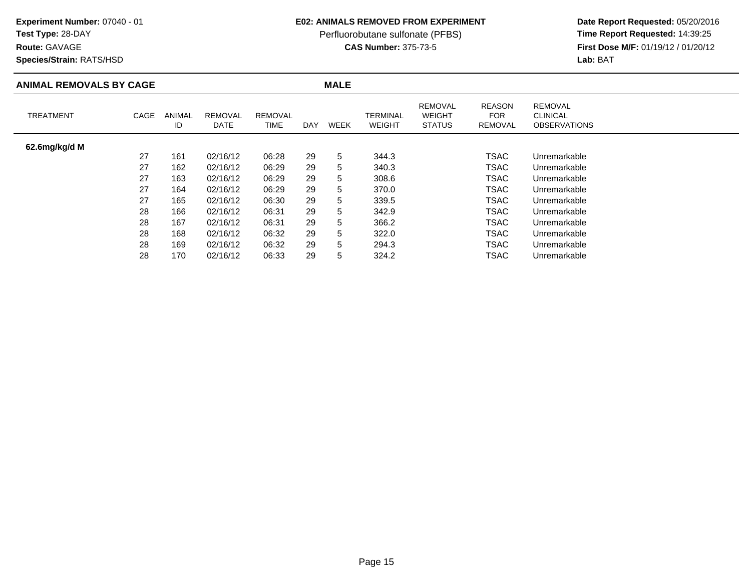### **Test Type:** 28-DAY

**Route:** GAVAGE

**Species/Strain:** RATS/HSD

#### **E02: ANIMALS REMOVED FROM EXPERIMENT**

Perfluorobutane sulfonate (PFBS)<br>**CAS Number:** 375-73-5

| <b>ANIMAL REMOVALS BY CAGE</b> |      |                     |                        |                        |            | <b>MALE</b> |                                  |                                                  |                                        |                                                          |
|--------------------------------|------|---------------------|------------------------|------------------------|------------|-------------|----------------------------------|--------------------------------------------------|----------------------------------------|----------------------------------------------------------|
| <b>TREATMENT</b>               | CAGE | <b>ANIMAL</b><br>ID | <b>REMOVAL</b><br>DATE | <b>REMOVAL</b><br>TIME | <b>DAY</b> | <b>WEEK</b> | <b>TERMINAL</b><br><b>WEIGHT</b> | <b>REMOVAL</b><br><b>WEIGHT</b><br><b>STATUS</b> | <b>REASON</b><br><b>FOR</b><br>REMOVAL | <b>REMOVAL</b><br><b>CLINICAL</b><br><b>OBSERVATIONS</b> |
| 62.6mg/kg/d M                  |      |                     |                        |                        |            |             |                                  |                                                  |                                        |                                                          |
|                                | 27   | 161                 | 02/16/12               | 06:28                  | 29         | 5           | 344.3                            |                                                  | TSAC                                   | Unremarkable                                             |
|                                | 27   | 162                 | 02/16/12               | 06:29                  | 29         | 5           | 340.3                            |                                                  | TSAC                                   | Unremarkable                                             |
|                                | 27   | 163                 | 02/16/12               | 06:29                  | 29         | 5           | 308.6                            |                                                  | TSAC                                   | Unremarkable                                             |
|                                | 27   | 164                 | 02/16/12               | 06:29                  | 29         | 5           | 370.0                            |                                                  | <b>TSAC</b>                            | Unremarkable                                             |
|                                | 27   | 165                 | 02/16/12               | 06:30                  | 29         | 5           | 339.5                            |                                                  | <b>TSAC</b>                            | Unremarkable                                             |
|                                | 28   | 166                 | 02/16/12               | 06:31                  | 29         | 5           | 342.9                            |                                                  | TSAC                                   | Unremarkable                                             |
|                                | 28   | 167                 | 02/16/12               | 06:31                  | 29         | 5           | 366.2                            |                                                  | TSAC                                   | Unremarkable                                             |
|                                | 28   | 168                 | 02/16/12               | 06:32                  | 29         | 5           | 322.0                            |                                                  | <b>TSAC</b>                            | Unremarkable                                             |
|                                | 28   | 169                 | 02/16/12               | 06:32                  | 29         | 5           | 294.3                            |                                                  | <b>TSAC</b>                            | Unremarkable                                             |
|                                | 28   | 170                 | 02/16/12               | 06:33                  | 29         | 5           | 324.2                            |                                                  | TSAC                                   | Unremarkable                                             |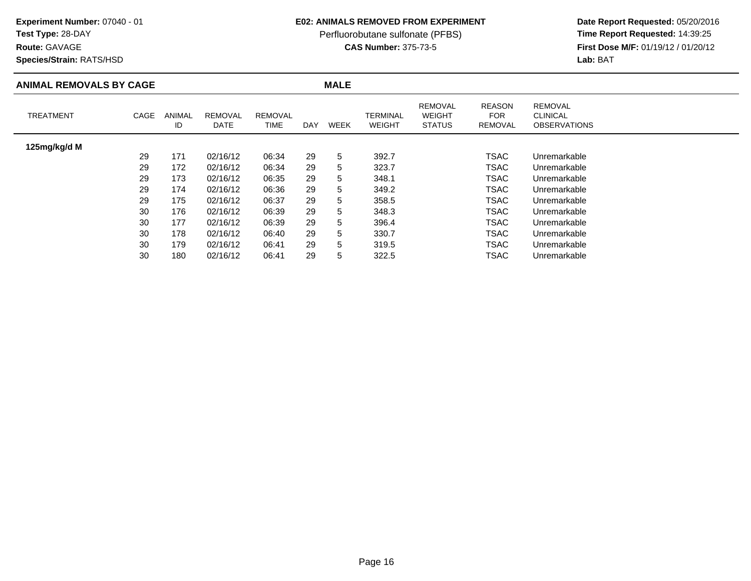### **Test Type:** 28-DAY

**Route:** GAVAGE

**Species/Strain:** RATS/HSD

### **E02: ANIMALS REMOVED FROM EXPERIMENT**

Perfluorobutane sulfonate (PFBS)<br>**CAS Number:** 375-73-5

| <b>ANIMAL REMOVALS BY CAGE</b> |      |              |                        |                               |     | <b>MALE</b> |                           |                                                  |                                               |                                                          |
|--------------------------------|------|--------------|------------------------|-------------------------------|-----|-------------|---------------------------|--------------------------------------------------|-----------------------------------------------|----------------------------------------------------------|
| <b>TREATMENT</b>               | CAGE | ANIMAL<br>ID | <b>REMOVAL</b><br>DATE | <b>REMOVAL</b><br><b>TIME</b> | DAY | WEEK        | TERMINAL<br><b>WEIGHT</b> | <b>REMOVAL</b><br><b>WEIGHT</b><br><b>STATUS</b> | <b>REASON</b><br><b>FOR</b><br><b>REMOVAL</b> | <b>REMOVAL</b><br><b>CLINICAL</b><br><b>OBSERVATIONS</b> |
| 125mg/kg/d M                   |      |              |                        |                               |     |             |                           |                                                  |                                               |                                                          |
|                                | 29   | 171          | 02/16/12               | 06:34                         | 29  | 5           | 392.7                     |                                                  | <b>TSAC</b>                                   | Unremarkable                                             |
|                                | 29   | 172          | 02/16/12               | 06:34                         | 29  | 5           | 323.7                     |                                                  | <b>TSAC</b>                                   | Unremarkable                                             |
|                                | 29   | 173          | 02/16/12               | 06:35                         | 29  | 5           | 348.1                     |                                                  | TSAC                                          | Unremarkable                                             |
|                                | 29   | 174          | 02/16/12               | 06:36                         | 29  | 5           | 349.2                     |                                                  | TSAC                                          | Unremarkable                                             |
|                                | 29   | 175          | 02/16/12               | 06:37                         | 29  | 5           | 358.5                     |                                                  | TSAC                                          | Unremarkable                                             |
|                                | 30   | 176          | 02/16/12               | 06:39                         | 29  | 5           | 348.3                     |                                                  | TSAC                                          | Unremarkable                                             |
|                                | 30   | 177          | 02/16/12               | 06:39                         | 29  | 5           | 396.4                     |                                                  | TSAC                                          | Unremarkable                                             |
|                                | 30   | 178          | 02/16/12               | 06:40                         | 29  | 5           | 330.7                     |                                                  | <b>TSAC</b>                                   | Unremarkable                                             |
|                                | 30   | 179          | 02/16/12               | 06:41                         | 29  | 5           | 319.5                     |                                                  | <b>TSAC</b>                                   | Unremarkable                                             |
|                                | 30   | 180          | 02/16/12               | 06:41                         | 29  | 5           | 322.5                     |                                                  | TSAC                                          | Unremarkable                                             |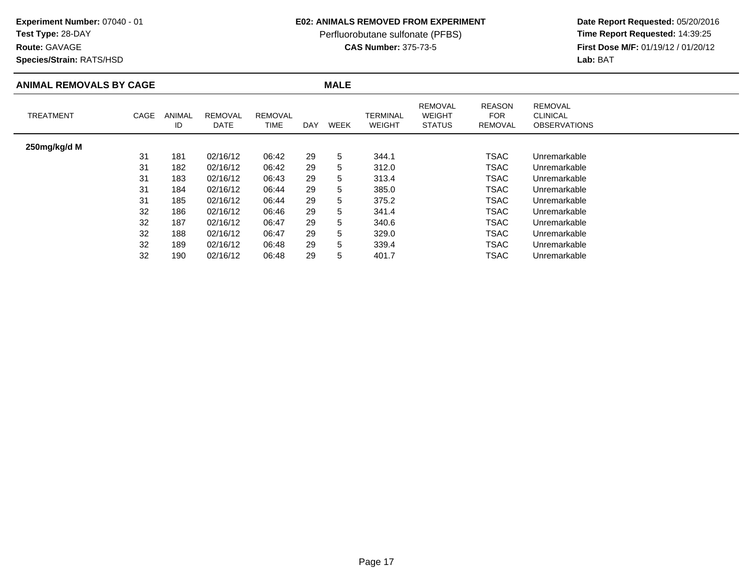## **Test Type:** 28-DAY

**Route:** GAVAGE

**Species/Strain:** RATS/HSD

### **E02: ANIMALS REMOVED FROM EXPERIMENT**

Perfluorobutane sulfonate (PFBS)<br>**CAS Number:** 375-73-5

| <b>ANIMAL REMOVALS BY CAGE</b> |      |                     |                        |                        |     | <b>MALE</b> |                           |                                                  |                                        |                                                          |  |
|--------------------------------|------|---------------------|------------------------|------------------------|-----|-------------|---------------------------|--------------------------------------------------|----------------------------------------|----------------------------------------------------------|--|
| <b>TREATMENT</b>               | CAGE | <b>ANIMAL</b><br>ID | <b>REMOVAL</b><br>DATE | <b>REMOVAL</b><br>TIME | DAY | WEEK        | TERMINAL<br><b>WEIGHT</b> | <b>REMOVAL</b><br><b>WEIGHT</b><br><b>STATUS</b> | <b>REASON</b><br><b>FOR</b><br>REMOVAL | <b>REMOVAL</b><br><b>CLINICAL</b><br><b>OBSERVATIONS</b> |  |
| 250mg/kg/d M                   |      |                     |                        |                        |     |             |                           |                                                  |                                        |                                                          |  |
|                                | 31   | 181                 | 02/16/12               | 06:42                  | 29  | 5           | 344.1                     |                                                  | <b>TSAC</b>                            | Unremarkable                                             |  |
|                                | 31   | 182                 | 02/16/12               | 06:42                  | 29  | 5           | 312.0                     |                                                  | TSAC                                   | Unremarkable                                             |  |
|                                | 31   | 183                 | 02/16/12               | 06:43                  | 29  | 5           | 313.4                     |                                                  | <b>TSAC</b>                            | Unremarkable                                             |  |
|                                | 31   | 184                 | 02/16/12               | 06:44                  | 29  | 5           | 385.0                     |                                                  | <b>TSAC</b>                            | Unremarkable                                             |  |
|                                | 31   | 185                 | 02/16/12               | 06:44                  | 29  | 5           | 375.2                     |                                                  | TSAC                                   | Unremarkable                                             |  |
|                                | 32   | 186                 | 02/16/12               | 06:46                  | 29  | 5           | 341.4                     |                                                  | TSAC                                   | Unremarkable                                             |  |
|                                | 32   | 187                 | 02/16/12               | 06:47                  | 29  | 5           | 340.6                     |                                                  | TSAC                                   | Unremarkable                                             |  |
|                                | 32   | 188                 | 02/16/12               | 06:47                  | 29  | 5           | 329.0                     |                                                  | <b>TSAC</b>                            | Unremarkable                                             |  |
|                                | 32   | 189                 | 02/16/12               | 06:48                  | 29  | 5           | 339.4                     |                                                  | <b>TSAC</b>                            | Unremarkable                                             |  |
|                                | 32   | 190                 | 02/16/12               | 06:48                  | 29  | 5           | 401.7                     |                                                  | TSAC                                   | Unremarkable                                             |  |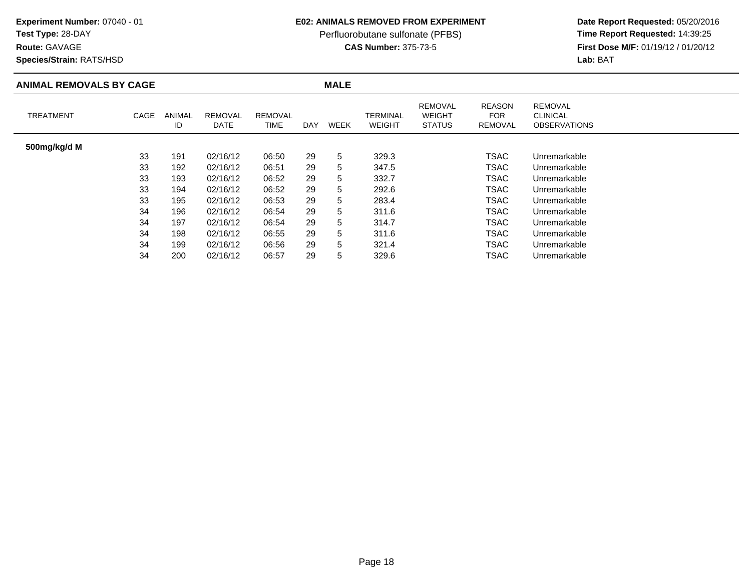## **Test Type:** 28-DAY

**Route:** GAVAGE

**Species/Strain:** RATS/HSD

### **E02: ANIMALS REMOVED FROM EXPERIMENT**

Perfluorobutane sulfonate (PFBS)<br>**CAS Number:** 375-73-5

| <b>ANIMAL REMOVALS BY CAGE</b> |      |                     |                        |                        |     | <b>MALE</b> |                           |                                                  |                                               |                                                          |
|--------------------------------|------|---------------------|------------------------|------------------------|-----|-------------|---------------------------|--------------------------------------------------|-----------------------------------------------|----------------------------------------------------------|
| <b>TREATMENT</b>               | CAGE | <b>ANIMAL</b><br>ID | <b>REMOVAL</b><br>DATE | <b>REMOVAL</b><br>TIME | DAY | <b>WEEK</b> | TERMINAL<br><b>WEIGHT</b> | <b>REMOVAL</b><br><b>WEIGHT</b><br><b>STATUS</b> | <b>REASON</b><br><b>FOR</b><br><b>REMOVAL</b> | <b>REMOVAL</b><br><b>CLINICAL</b><br><b>OBSERVATIONS</b> |
| 500mg/kg/d M                   |      |                     |                        |                        |     |             |                           |                                                  |                                               |                                                          |
|                                | 33   | 191                 | 02/16/12               | 06:50                  | 29  | 5           | 329.3                     |                                                  | <b>TSAC</b>                                   | Unremarkable                                             |
|                                | 33   | 192                 | 02/16/12               | 06:51                  | 29  | 5           | 347.5                     |                                                  | TSAC                                          | Unremarkable                                             |
|                                | 33   | 193                 | 02/16/12               | 06:52                  | 29  | 5           | 332.7                     |                                                  | TSAC                                          | Unremarkable                                             |
|                                | 33   | 194                 | 02/16/12               | 06:52                  | 29  | 5           | 292.6                     |                                                  | <b>TSAC</b>                                   | Unremarkable                                             |
|                                | 33   | 195                 | 02/16/12               | 06:53                  | 29  | 5           | 283.4                     |                                                  | TSAC                                          | Unremarkable                                             |
|                                | 34   | 196                 | 02/16/12               | 06:54                  | 29  | 5           | 311.6                     |                                                  | TSAC                                          | Unremarkable                                             |
|                                | 34   | 197                 | 02/16/12               | 06:54                  | 29  | 5           | 314.7                     |                                                  | <b>TSAC</b>                                   | Unremarkable                                             |
|                                | 34   | 198                 | 02/16/12               | 06:55                  | 29  | 5           | 311.6                     |                                                  | <b>TSAC</b>                                   | Unremarkable                                             |
|                                | 34   | 199                 | 02/16/12               | 06:56                  | 29  | 5           | 321.4                     |                                                  | <b>TSAC</b>                                   | Unremarkable                                             |
|                                | 34   | 200                 | 02/16/12               | 06:57                  | 29  | 5           | 329.6                     |                                                  | TSAC                                          | Unremarkable                                             |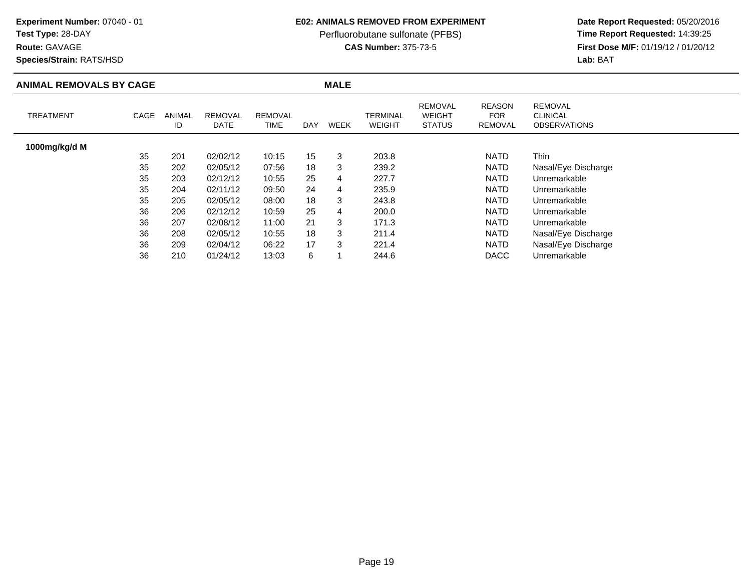## **Test Type:** 28-DAY

**Route:** GAVAGE

**Species/Strain:** RATS/HSD

### **E02: ANIMALS REMOVED FROM EXPERIMENT**

Perfluorobutane sulfonate (PFBS)<br>**CAS Number:** 375-73-5

| <b>ANIMAL REMOVALS BY CAGE</b> |      |              |                        |                        |            | <b>MALE</b> |                                  |                                           |                                               |                                                          |
|--------------------------------|------|--------------|------------------------|------------------------|------------|-------------|----------------------------------|-------------------------------------------|-----------------------------------------------|----------------------------------------------------------|
| <b>TREATMENT</b>               | CAGE | ANIMAL<br>ID | <b>REMOVAL</b><br>DATE | <b>REMOVAL</b><br>TIME | <b>DAY</b> | <b>WEEK</b> | <b>TERMINAL</b><br><b>WEIGHT</b> | REMOVAL<br><b>WEIGHT</b><br><b>STATUS</b> | <b>REASON</b><br><b>FOR</b><br><b>REMOVAL</b> | <b>REMOVAL</b><br><b>CLINICAL</b><br><b>OBSERVATIONS</b> |
| 1000mg/kg/d M                  |      |              |                        |                        |            |             |                                  |                                           |                                               |                                                          |
|                                | 35   | 201          | 02/02/12               | 10:15                  | 15         | 3           | 203.8                            |                                           | <b>NATD</b>                                   | Thin                                                     |
|                                | 35   | 202          | 02/05/12               | 07:56                  | 18         | 3           | 239.2                            |                                           | <b>NATD</b>                                   | Nasal/Eye Discharge                                      |
|                                | 35   | 203          | 02/12/12               | 10:55                  | 25         | 4           | 227.7                            |                                           | <b>NATD</b>                                   | Unremarkable                                             |
|                                | 35   | 204          | 02/11/12               | 09:50                  | 24         | 4           | 235.9                            |                                           | <b>NATD</b>                                   | Unremarkable                                             |
|                                | 35   | 205          | 02/05/12               | 08:00                  | 18         | 3           | 243.8                            |                                           | <b>NATD</b>                                   | Unremarkable                                             |
|                                | 36   | 206          | 02/12/12               | 10:59                  | 25         | 4           | 200.0                            |                                           | <b>NATD</b>                                   | Unremarkable                                             |
|                                | 36   | 207          | 02/08/12               | 11:00                  | 21         | 3           | 171.3                            |                                           | <b>NATD</b>                                   | Unremarkable                                             |
|                                | 36   | 208          | 02/05/12               | 10:55                  | 18         | 3           | 211.4                            |                                           | <b>NATD</b>                                   | Nasal/Eye Discharge                                      |
|                                | 36   | 209          | 02/04/12               | 06:22                  | 17         | 3           | 221.4                            |                                           | <b>NATD</b>                                   | Nasal/Eye Discharge                                      |
|                                | 36   | 210          | 01/24/12               | 13:03                  | 6          |             | 244.6                            |                                           | <b>DACC</b>                                   | Unremarkable                                             |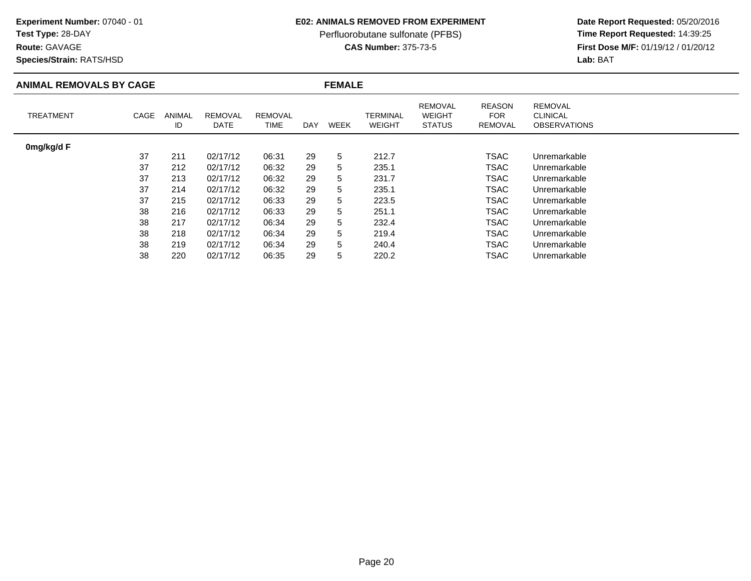## **Test Type:** 28-DAY

**Route:** GAVAGE

**Species/Strain:** RATS/HSD

### **E02: ANIMALS REMOVED FROM EXPERIMENT**

Perfluorobutane sulfonate (PFBS)<br>**CAS Number:** 375-73-5

| <b>ANIMAL REMOVALS BY CAGE</b> |      |                     |                        |                        |     |             | <b>FEMALE</b>             |                                                  |                                               |                                                          |  |  |  |
|--------------------------------|------|---------------------|------------------------|------------------------|-----|-------------|---------------------------|--------------------------------------------------|-----------------------------------------------|----------------------------------------------------------|--|--|--|
| <b>TREATMENT</b>               | CAGE | <b>ANIMAL</b><br>ID | <b>REMOVAL</b><br>DATE | <b>REMOVAL</b><br>TIME | DAY | <b>WEEK</b> | TERMINAL<br><b>WEIGHT</b> | <b>REMOVAL</b><br><b>WEIGHT</b><br><b>STATUS</b> | <b>REASON</b><br><b>FOR</b><br><b>REMOVAL</b> | <b>REMOVAL</b><br><b>CLINICAL</b><br><b>OBSERVATIONS</b> |  |  |  |
| 0mg/kg/d F                     |      |                     |                        |                        |     |             |                           |                                                  |                                               |                                                          |  |  |  |
|                                | 37   | 211                 | 02/17/12               | 06:31                  | 29  | 5           | 212.7                     |                                                  | <b>TSAC</b>                                   | Unremarkable                                             |  |  |  |
|                                | 37   | 212                 | 02/17/12               | 06:32                  | 29  | 5           | 235.1                     |                                                  | TSAC                                          | Unremarkable                                             |  |  |  |
|                                | 37   | 213                 | 02/17/12               | 06:32                  | 29  | 5           | 231.7                     |                                                  | <b>TSAC</b>                                   | Unremarkable                                             |  |  |  |
|                                | 37   | 214                 | 02/17/12               | 06:32                  | 29  | 5           | 235.1                     |                                                  | TSAC                                          | Unremarkable                                             |  |  |  |
|                                | 37   | 215                 | 02/17/12               | 06:33                  | 29  | 5           | 223.5                     |                                                  | TSAC                                          | Unremarkable                                             |  |  |  |
|                                | 38   | 216                 | 02/17/12               | 06:33                  | 29  | 5           | 251.1                     |                                                  | <b>TSAC</b>                                   | Unremarkable                                             |  |  |  |
|                                | 38   | 217                 | 02/17/12               | 06:34                  | 29  | 5           | 232.4                     |                                                  | <b>TSAC</b>                                   | Unremarkable                                             |  |  |  |
|                                | 38   | 218                 | 02/17/12               | 06:34                  | 29  | 5           | 219.4                     |                                                  | TSAC                                          | Unremarkable                                             |  |  |  |
|                                | 38   | 219                 | 02/17/12               | 06:34                  | 29  | 5           | 240.4                     |                                                  | TSAC                                          | Unremarkable                                             |  |  |  |
|                                | 38   | 220                 | 02/17/12               | 06:35                  | 29  | 5           | 220.2                     |                                                  | TSAC                                          | Unremarkable                                             |  |  |  |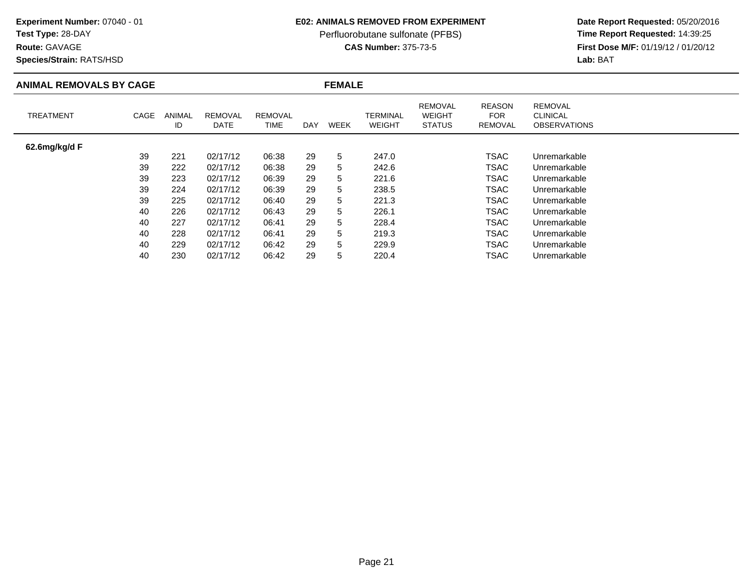### **Test Type:** 28-DAY

**Route:** GAVAGE

**Species/Strain:** RATS/HSD

### **E02: ANIMALS REMOVED FROM EXPERIMENT**

Perfluorobutane sulfonate (PFBS)<br>**CAS Number:** 375-73-5

| <b>ANIMAL REMOVALS BY CAGE</b> |      |              |                               |                        |     | <b>FEMALE</b> |                           |                                                  |                                               |                                                          |  |  |  |
|--------------------------------|------|--------------|-------------------------------|------------------------|-----|---------------|---------------------------|--------------------------------------------------|-----------------------------------------------|----------------------------------------------------------|--|--|--|
| <b>TREATMENT</b>               | CAGE | ANIMAL<br>ID | <b>REMOVAL</b><br><b>DATE</b> | <b>REMOVAL</b><br>TIME | DAY | <b>WEEK</b>   | TERMINAL<br><b>WEIGHT</b> | <b>REMOVAL</b><br><b>WEIGHT</b><br><b>STATUS</b> | <b>REASON</b><br><b>FOR</b><br><b>REMOVAL</b> | <b>REMOVAL</b><br><b>CLINICAL</b><br><b>OBSERVATIONS</b> |  |  |  |
| 62.6mg/kg/d F                  |      |              |                               |                        |     |               |                           |                                                  |                                               |                                                          |  |  |  |
|                                | 39   | 221          | 02/17/12                      | 06:38                  | 29  | 5             | 247.0                     |                                                  | <b>TSAC</b>                                   | Unremarkable                                             |  |  |  |
|                                | 39   | 222          | 02/17/12                      | 06:38                  | 29  | 5             | 242.6                     |                                                  | TSAC                                          | Unremarkable                                             |  |  |  |
|                                | 39   | 223          | 02/17/12                      | 06:39                  | 29  | 5             | 221.6                     |                                                  | <b>TSAC</b>                                   | Unremarkable                                             |  |  |  |
|                                | 39   | 224          | 02/17/12                      | 06:39                  | 29  | 5             | 238.5                     |                                                  | <b>TSAC</b>                                   | Unremarkable                                             |  |  |  |
|                                | 39   | 225          | 02/17/12                      | 06:40                  | 29  | 5             | 221.3                     |                                                  | <b>TSAC</b>                                   | Unremarkable                                             |  |  |  |
|                                | 40   | 226          | 02/17/12                      | 06:43                  | 29  | 5             | 226.1                     |                                                  | TSAC                                          | Unremarkable                                             |  |  |  |
|                                | 40   | 227          | 02/17/12                      | 06:41                  | 29  | 5             | 228.4                     |                                                  | <b>TSAC</b>                                   | Unremarkable                                             |  |  |  |
|                                | 40   | 228          | 02/17/12                      | 06:41                  | 29  | 5             | 219.3                     |                                                  | <b>TSAC</b>                                   | Unremarkable                                             |  |  |  |
|                                | 40   | 229          | 02/17/12                      | 06:42                  | 29  | 5             | 229.9                     |                                                  | <b>TSAC</b>                                   | Unremarkable                                             |  |  |  |
|                                | 40   | 230          | 02/17/12                      | 06:42                  | 29  | 5             | 220.4                     |                                                  | TSAC                                          | Unremarkable                                             |  |  |  |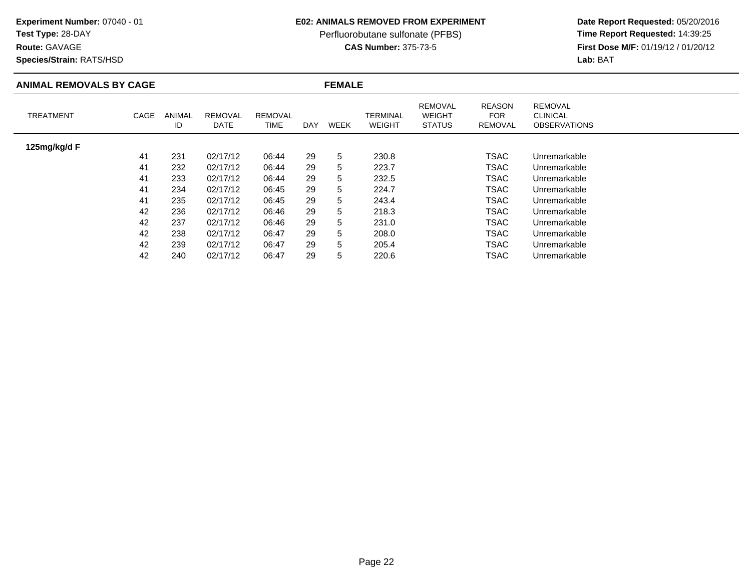## **Test Type:** 28-DAY

**Route:** GAVAGE

**Species/Strain:** RATS/HSD

### **E02: ANIMALS REMOVED FROM EXPERIMENT**

Perfluorobutane sulfonate (PFBS)<br>**CAS Number:** 375-73-5

| <b>ANIMAL REMOVALS BY CAGE</b> |      |              |                        |                        |     | <b>FEMALE</b> |                           |                                                  |                                               |                                                          |  |  |  |
|--------------------------------|------|--------------|------------------------|------------------------|-----|---------------|---------------------------|--------------------------------------------------|-----------------------------------------------|----------------------------------------------------------|--|--|--|
| <b>TREATMENT</b>               | CAGE | ANIMAL<br>ID | <b>REMOVAL</b><br>DATE | <b>REMOVAL</b><br>TIME | DAY | <b>WEEK</b>   | TERMINAL<br><b>WEIGHT</b> | <b>REMOVAL</b><br><b>WEIGHT</b><br><b>STATUS</b> | <b>REASON</b><br><b>FOR</b><br><b>REMOVAL</b> | <b>REMOVAL</b><br><b>CLINICAL</b><br><b>OBSERVATIONS</b> |  |  |  |
| 125mg/kg/d F                   |      |              |                        |                        |     |               |                           |                                                  |                                               |                                                          |  |  |  |
|                                | 41   | 231          | 02/17/12               | 06:44                  | 29  | 5             | 230.8                     |                                                  | TSAC                                          | Unremarkable                                             |  |  |  |
|                                | 41   | 232          | 02/17/12               | 06:44                  | 29  | 5             | 223.7                     |                                                  | TSAC                                          | Unremarkable                                             |  |  |  |
|                                | 41   | 233          | 02/17/12               | 06:44                  | 29  | 5             | 232.5                     |                                                  | TSAC                                          | Unremarkable                                             |  |  |  |
|                                | 41   | 234          | 02/17/12               | 06:45                  | 29  | 5             | 224.7                     |                                                  | TSAC                                          | Unremarkable                                             |  |  |  |
|                                | 41   | 235          | 02/17/12               | 06:45                  | 29  | 5             | 243.4                     |                                                  | TSAC                                          | Unremarkable                                             |  |  |  |
|                                | 42   | 236          | 02/17/12               | 06:46                  | 29  | 5             | 218.3                     |                                                  | TSAC                                          | Unremarkable                                             |  |  |  |
|                                | 42   | 237          | 02/17/12               | 06:46                  | 29  | 5             | 231.0                     |                                                  | TSAC                                          | Unremarkable                                             |  |  |  |
|                                | 42   | 238          | 02/17/12               | 06:47                  | 29  | 5             | 208.0                     |                                                  | TSAC                                          | Unremarkable                                             |  |  |  |
|                                | 42   | 239          | 02/17/12               | 06:47                  | 29  | 5             | 205.4                     |                                                  | TSAC                                          | Unremarkable                                             |  |  |  |
|                                | 42   | 240          | 02/17/12               | 06:47                  | 29  | 5             | 220.6                     |                                                  | TSAC                                          | Unremarkable                                             |  |  |  |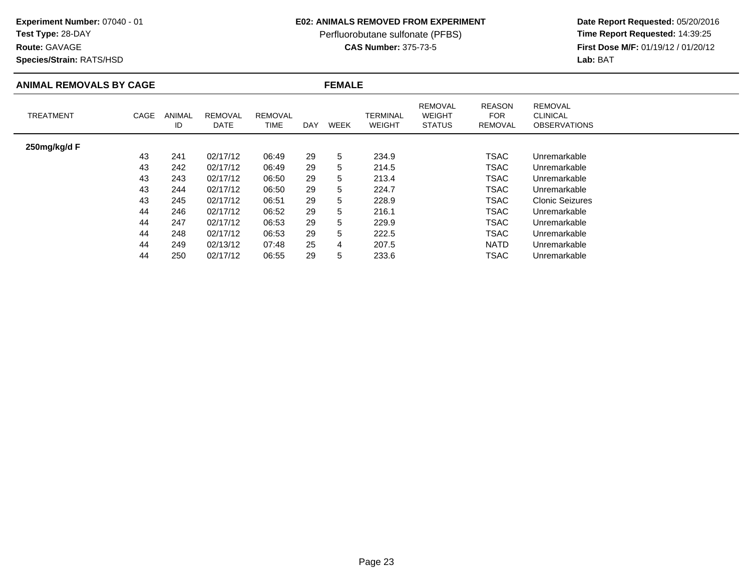## **Test Type:** 28-DAY

### **Route:** GAVAGE

**Species/Strain:** RATS/HSD

### **E02: ANIMALS REMOVED FROM EXPERIMENT**

Perfluorobutane sulfonate (PFBS)<br>**CAS Number:** 375-73-5

| <b>ANIMAL REMOVALS BY CAGE</b> |      |                     |                        |                               |     | <b>FEMALE</b> |                           |                                                  |                                        |                                                          |  |  |  |
|--------------------------------|------|---------------------|------------------------|-------------------------------|-----|---------------|---------------------------|--------------------------------------------------|----------------------------------------|----------------------------------------------------------|--|--|--|
| <b>TREATMENT</b>               | CAGE | <b>ANIMAL</b><br>ID | <b>REMOVAL</b><br>DATE | <b>REMOVAL</b><br><b>TIME</b> | DAY | <b>WEEK</b>   | TERMINAL<br><b>WEIGHT</b> | <b>REMOVAL</b><br><b>WEIGHT</b><br><b>STATUS</b> | <b>REASON</b><br><b>FOR</b><br>REMOVAL | <b>REMOVAL</b><br><b>CLINICAL</b><br><b>OBSERVATIONS</b> |  |  |  |
| 250mg/kg/d F                   |      |                     |                        |                               |     |               |                           |                                                  |                                        |                                                          |  |  |  |
|                                | 43   | 241                 | 02/17/12               | 06:49                         | 29  | 5             | 234.9                     |                                                  | <b>TSAC</b>                            | Unremarkable                                             |  |  |  |
|                                | 43   | 242                 | 02/17/12               | 06:49                         | 29  | 5             | 214.5                     |                                                  | <b>TSAC</b>                            | Unremarkable                                             |  |  |  |
|                                | 43   | 243                 | 02/17/12               | 06:50                         | 29  | 5             | 213.4                     |                                                  | <b>TSAC</b>                            | Unremarkable                                             |  |  |  |
|                                | 43   | 244                 | 02/17/12               | 06:50                         | 29  | 5             | 224.7                     |                                                  | TSAC                                   | Unremarkable                                             |  |  |  |
|                                | 43   | 245                 | 02/17/12               | 06:51                         | 29  | 5             | 228.9                     |                                                  | <b>TSAC</b>                            | <b>Clonic Seizures</b>                                   |  |  |  |
|                                | 44   | 246                 | 02/17/12               | 06:52                         | 29  | 5             | 216.1                     |                                                  | <b>TSAC</b>                            | Unremarkable                                             |  |  |  |
|                                | 44   | 247                 | 02/17/12               | 06:53                         | 29  | 5             | 229.9                     |                                                  | <b>TSAC</b>                            | Unremarkable                                             |  |  |  |
|                                | 44   | 248                 | 02/17/12               | 06:53                         | 29  | 5             | 222.5                     |                                                  | <b>TSAC</b>                            | Unremarkable                                             |  |  |  |
|                                | 44   | 249                 | 02/13/12               | 07:48                         | 25  | 4             | 207.5                     |                                                  | <b>NATD</b>                            | Unremarkable                                             |  |  |  |
|                                | 44   | 250                 | 02/17/12               | 06:55                         | 29  | 5             | 233.6                     |                                                  | <b>TSAC</b>                            | Unremarkable                                             |  |  |  |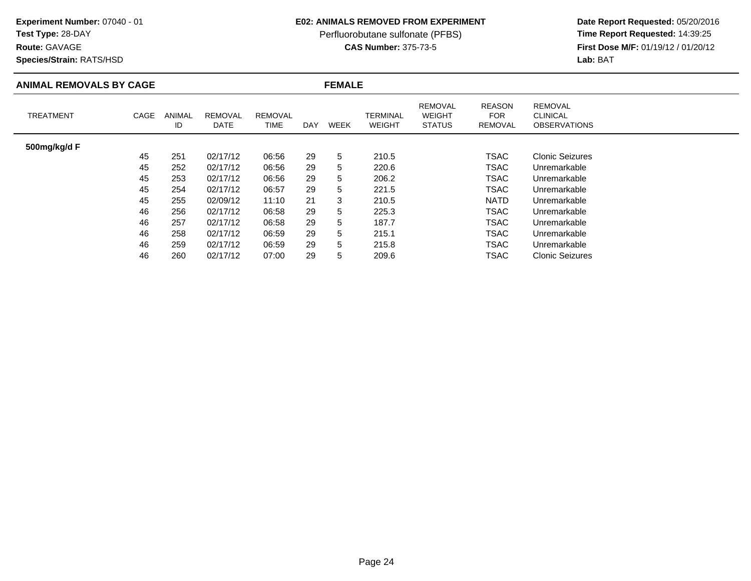## **Test Type:** 28-DAY

### **Route:** GAVAGE

**Species/Strain:** RATS/HSD

### **E02: ANIMALS REMOVED FROM EXPERIMENT**

Perfluorobutane sulfonate (PFBS)<br>**CAS Number:** 375-73-5

| <b>ANIMAL REMOVALS BY CAGE</b> |      |              |                        |                        |     | <b>FEMALE</b> |                           |                                                  |                                               |                                                          |  |  |
|--------------------------------|------|--------------|------------------------|------------------------|-----|---------------|---------------------------|--------------------------------------------------|-----------------------------------------------|----------------------------------------------------------|--|--|
| <b>TREATMENT</b>               | CAGE | ANIMAL<br>ID | <b>REMOVAL</b><br>DATE | <b>REMOVAL</b><br>TIME | DAY | <b>WEEK</b>   | TERMINAL<br><b>WEIGHT</b> | <b>REMOVAL</b><br><b>WEIGHT</b><br><b>STATUS</b> | <b>REASON</b><br><b>FOR</b><br><b>REMOVAL</b> | <b>REMOVAL</b><br><b>CLINICAL</b><br><b>OBSERVATIONS</b> |  |  |
| 500mg/kg/d F                   |      |              |                        |                        |     |               |                           |                                                  |                                               |                                                          |  |  |
|                                | 45   | 251          | 02/17/12               | 06:56                  | 29  | 5             | 210.5                     |                                                  | TSAC                                          | <b>Clonic Seizures</b>                                   |  |  |
|                                | 45   | 252          | 02/17/12               | 06:56                  | 29  | 5             | 220.6                     |                                                  | TSAC                                          | Unremarkable                                             |  |  |
|                                | 45   | 253          | 02/17/12               | 06:56                  | 29  | 5             | 206.2                     |                                                  | TSAC                                          | Unremarkable                                             |  |  |
|                                | 45   | 254          | 02/17/12               | 06:57                  | 29  | 5             | 221.5                     |                                                  | TSAC                                          | Unremarkable                                             |  |  |
|                                | 45   | 255          | 02/09/12               | 11:10                  | 21  | 3             | 210.5                     |                                                  | <b>NATD</b>                                   | Unremarkable                                             |  |  |
|                                | 46   | 256          | 02/17/12               | 06:58                  | 29  | 5             | 225.3                     |                                                  | TSAC                                          | Unremarkable                                             |  |  |
|                                | 46   | 257          | 02/17/12               | 06:58                  | 29  | 5             | 187.7                     |                                                  | TSAC                                          | Unremarkable                                             |  |  |
|                                | 46   | 258          | 02/17/12               | 06:59                  | 29  | 5             | 215.1                     |                                                  | TSAC                                          | Unremarkable                                             |  |  |
|                                | 46   | 259          | 02/17/12               | 06:59                  | 29  | 5             | 215.8                     |                                                  | TSAC                                          | Unremarkable                                             |  |  |
|                                | 46   | 260          | 02/17/12               | 07:00                  | 29  | 5             | 209.6                     |                                                  | TSAC                                          | <b>Clonic Seizures</b>                                   |  |  |